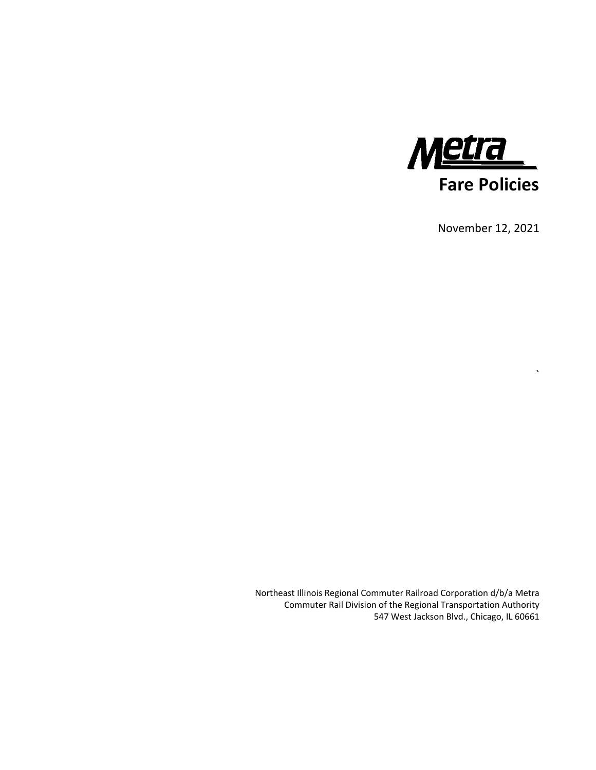

November 12, 2021

 $\lambda$ 

Northeast Illinois Regional Commuter Railroad Corporation d/b/a Metra Commuter Rail Division of the Regional Transportation Authority 547 West Jackson Blvd., Chicago, IL 60661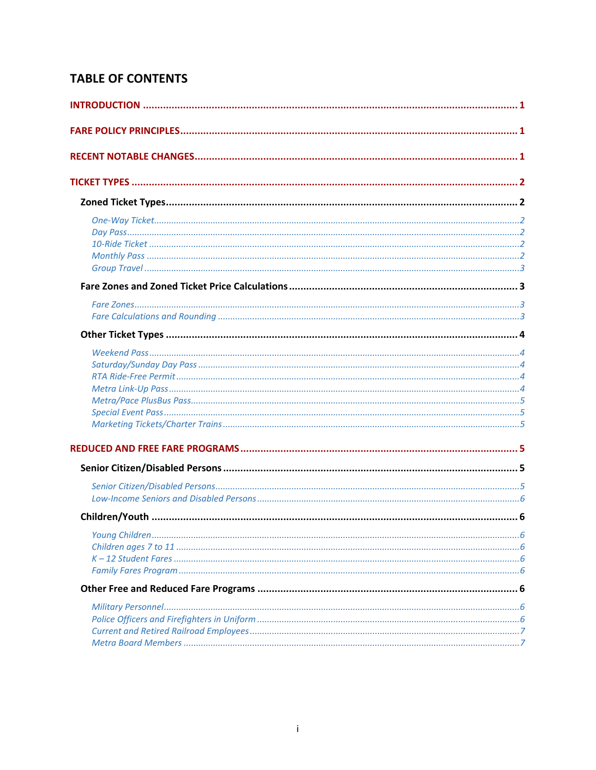# **TABLE OF CONTENTS**

| Young Children<br>.6 |  |
|----------------------|--|
|                      |  |
|                      |  |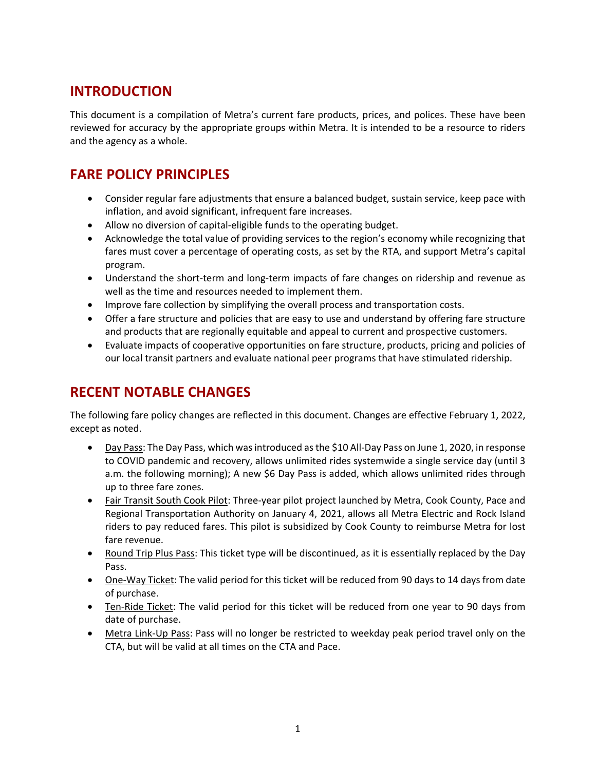# **INTRODUCTION**

This document is a compilation of Metra's current fare products, prices, and polices. These have been reviewed for accuracy by the appropriate groups within Metra. It is intended to be a resource to riders and the agency as a whole.

# **FARE POLICY PRINCIPLES**

- Consider regular fare adjustments that ensure a balanced budget, sustain service, keep pace with inflation, and avoid significant, infrequent fare increases.
- Allow no diversion of capital-eligible funds to the operating budget.
- Acknowledge the total value of providing services to the region's economy while recognizing that fares must cover a percentage of operating costs, as set by the RTA, and support Metra's capital program.
- Understand the short-term and long-term impacts of fare changes on ridership and revenue as well as the time and resources needed to implement them.
- Improve fare collection by simplifying the overall process and transportation costs.
- Offer a fare structure and policies that are easy to use and understand by offering fare structure and products that are regionally equitable and appeal to current and prospective customers.
- Evaluate impacts of cooperative opportunities on fare structure, products, pricing and policies of our local transit partners and evaluate national peer programs that have stimulated ridership.

# **RECENT NOTABLE CHANGES**

The following fare policy changes are reflected in this document. Changes are effective February 1, 2022, except as noted.

- Day Pass: The Day Pass, which was introduced as the \$10 All-Day Pass on June 1, 2020, in response to COVID pandemic and recovery, allows unlimited rides systemwide a single service day (until 3 a.m. the following morning); A new \$6 Day Pass is added, which allows unlimited rides through up to three fare zones.
- Fair Transit South Cook Pilot: Three-year pilot project launched by Metra, Cook County, Pace and Regional Transportation Authority on January 4, 2021, allows all Metra Electric and Rock Island riders to pay reduced fares. This pilot is subsidized by Cook County to reimburse Metra for lost fare revenue.
- Round Trip Plus Pass: This ticket type will be discontinued, as it is essentially replaced by the Day Pass.
- One-Way Ticket: The valid period for this ticket will be reduced from 90 days to 14 days from date of purchase.
- Ten-Ride Ticket: The valid period for this ticket will be reduced from one year to 90 days from date of purchase.
- Metra Link-Up Pass: Pass will no longer be restricted to weekday peak period travel only on the CTA, but will be valid at all times on the CTA and Pace.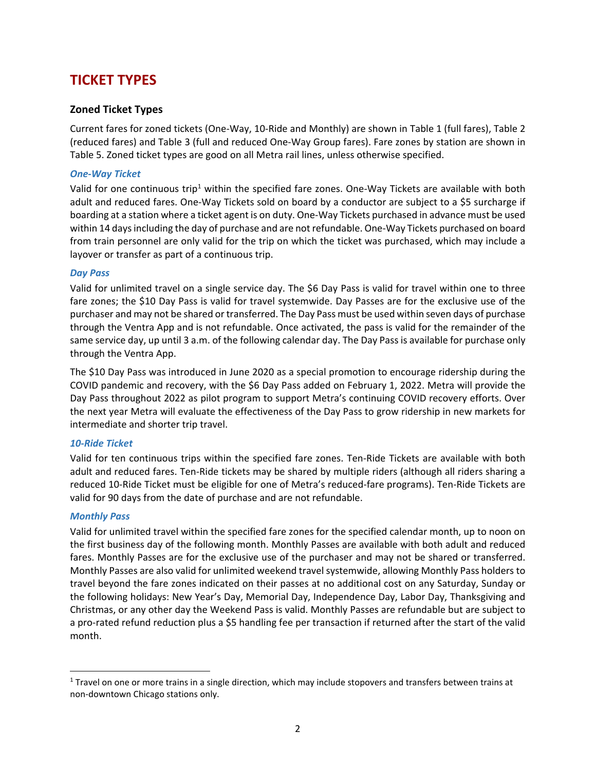# **TICKET TYPES**

### **Zoned Ticket Types**

Current fares for zoned tickets (One‐Way, 10‐Ride and Monthly) are shown in Table 1 (full fares), Table 2 (reduced fares) and Table 3 (full and reduced One‐Way Group fares). Fare zones by station are shown in Table 5. Zoned ticket types are good on all Metra rail lines, unless otherwise specified.

### *One‐Way Ticket*

Valid for one continuous trip<sup>1</sup> within the specified fare zones. One-Way Tickets are available with both adult and reduced fares. One‐Way Tickets sold on board by a conductor are subject to a \$5 surcharge if boarding at a station where a ticket agent is on duty. One‐Way Tickets purchased in advance must be used within 14 days including the day of purchase and are not refundable. One‐Way Tickets purchased on board from train personnel are only valid for the trip on which the ticket was purchased, which may include a layover or transfer as part of a continuous trip.

#### *Day Pass*

Valid for unlimited travel on a single service day. The \$6 Day Pass is valid for travel within one to three fare zones; the \$10 Day Pass is valid for travel systemwide. Day Passes are for the exclusive use of the purchaser and may not be shared or transferred. The Day Pass must be used within seven days of purchase through the Ventra App and is not refundable. Once activated, the pass is valid for the remainder of the same service day, up until 3 a.m. of the following calendar day. The Day Pass is available for purchase only through the Ventra App.

The \$10 Day Pass was introduced in June 2020 as a special promotion to encourage ridership during the COVID pandemic and recovery, with the \$6 Day Pass added on February 1, 2022. Metra will provide the Day Pass throughout 2022 as pilot program to support Metra's continuing COVID recovery efforts. Over the next year Metra will evaluate the effectiveness of the Day Pass to grow ridership in new markets for intermediate and shorter trip travel.

### *10‐Ride Ticket*

Valid for ten continuous trips within the specified fare zones. Ten‐Ride Tickets are available with both adult and reduced fares. Ten‐Ride tickets may be shared by multiple riders (although all riders sharing a reduced 10‐Ride Ticket must be eligible for one of Metra's reduced‐fare programs). Ten‐Ride Tickets are valid for 90 days from the date of purchase and are not refundable.

### *Monthly Pass*

Valid for unlimited travel within the specified fare zones for the specified calendar month, up to noon on the first business day of the following month. Monthly Passes are available with both adult and reduced fares. Monthly Passes are for the exclusive use of the purchaser and may not be shared or transferred. Monthly Passes are also valid for unlimited weekend travel systemwide, allowing Monthly Pass holders to travel beyond the fare zones indicated on their passes at no additional cost on any Saturday, Sunday or the following holidays: New Year's Day, Memorial Day, Independence Day, Labor Day, Thanksgiving and Christmas, or any other day the Weekend Pass is valid. Monthly Passes are refundable but are subject to a pro-rated refund reduction plus a \$5 handling fee per transaction if returned after the start of the valid month.

 $1$  Travel on one or more trains in a single direction, which may include stopovers and transfers between trains at non‐downtown Chicago stations only.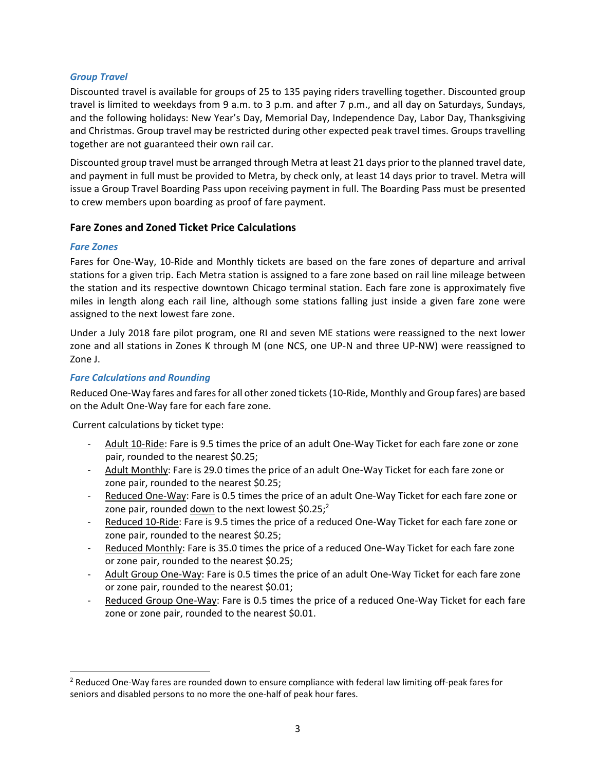### *Group Travel*

Discounted travel is available for groups of 25 to 135 paying riders travelling together. Discounted group travel is limited to weekdays from 9 a.m. to 3 p.m. and after 7 p.m., and all day on Saturdays, Sundays, and the following holidays: New Year's Day, Memorial Day, Independence Day, Labor Day, Thanksgiving and Christmas. Group travel may be restricted during other expected peak travel times. Groups travelling together are not guaranteed their own rail car.

Discounted group travel must be arranged through Metra at least 21 days prior to the planned travel date, and payment in full must be provided to Metra, by check only, at least 14 days prior to travel. Metra will issue a Group Travel Boarding Pass upon receiving payment in full. The Boarding Pass must be presented to crew members upon boarding as proof of fare payment.

### **Fare Zones and Zoned Ticket Price Calculations**

#### *Fare Zones*

Fares for One-Way, 10-Ride and Monthly tickets are based on the fare zones of departure and arrival stations for a given trip. Each Metra station is assigned to a fare zone based on rail line mileage between the station and its respective downtown Chicago terminal station. Each fare zone is approximately five miles in length along each rail line, although some stations falling just inside a given fare zone were assigned to the next lowest fare zone.

Under a July 2018 fare pilot program, one RI and seven ME stations were reassigned to the next lower zone and all stations in Zones K through M (one NCS, one UP‐N and three UP‐NW) were reassigned to Zone J.

### *Fare Calculations and Rounding*

Reduced One‐Way fares and fares for all other zoned tickets (10‐Ride, Monthly and Group fares) are based on the Adult One‐Way fare for each fare zone.

Current calculations by ticket type:

- Adult 10-Ride: Fare is 9.5 times the price of an adult One-Way Ticket for each fare zone or zone pair, rounded to the nearest \$0.25;
- ‐ Adult Monthly: Fare is 29.0 times the price of an adult One‐Way Ticket for each fare zone or zone pair, rounded to the nearest \$0.25;
- Reduced One-Way: Fare is 0.5 times the price of an adult One-Way Ticket for each fare zone or zone pair, rounded down to the next lowest  $$0.25$ ;<sup>2</sup>
- Reduced 10-Ride: Fare is 9.5 times the price of a reduced One-Way Ticket for each fare zone or zone pair, rounded to the nearest \$0.25;
- Reduced Monthly: Fare is 35.0 times the price of a reduced One-Way Ticket for each fare zone or zone pair, rounded to the nearest \$0.25;
- ‐ Adult Group One‐Way: Fare is 0.5 times the price of an adult One‐Way Ticket for each fare zone or zone pair, rounded to the nearest \$0.01;
- Reduced Group One-Way: Fare is 0.5 times the price of a reduced One-Way Ticket for each fare zone or zone pair, rounded to the nearest \$0.01.

<sup>2</sup> Reduced One‐Way fares are rounded down to ensure compliance with federal law limiting off‐peak fares for seniors and disabled persons to no more the one-half of peak hour fares.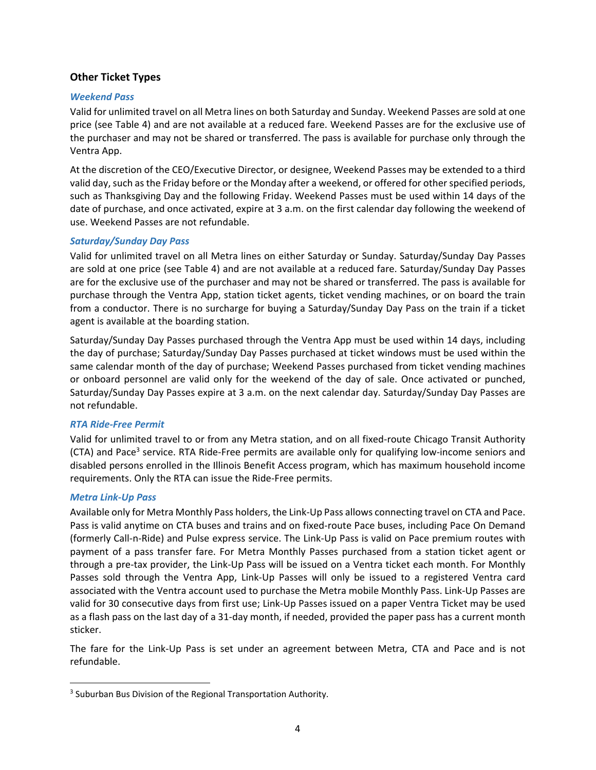### **Other Ticket Types**

#### *Weekend Pass*

Valid for unlimited travel on all Metra lines on both Saturday and Sunday. Weekend Passes are sold at one price (see Table 4) and are not available at a reduced fare. Weekend Passes are for the exclusive use of the purchaser and may not be shared or transferred. The pass is available for purchase only through the Ventra App.

At the discretion of the CEO/Executive Director, or designee, Weekend Passes may be extended to a third valid day, such as the Friday before or the Monday after a weekend, or offered for other specified periods, such as Thanksgiving Day and the following Friday. Weekend Passes must be used within 14 days of the date of purchase, and once activated, expire at 3 a.m. on the first calendar day following the weekend of use. Weekend Passes are not refundable.

#### *Saturday/Sunday Day Pass*

Valid for unlimited travel on all Metra lines on either Saturday or Sunday. Saturday/Sunday Day Passes are sold at one price (see Table 4) and are not available at a reduced fare. Saturday/Sunday Day Passes are for the exclusive use of the purchaser and may not be shared or transferred. The pass is available for purchase through the Ventra App, station ticket agents, ticket vending machines, or on board the train from a conductor. There is no surcharge for buying a Saturday/Sunday Day Pass on the train if a ticket agent is available at the boarding station.

Saturday/Sunday Day Passes purchased through the Ventra App must be used within 14 days, including the day of purchase; Saturday/Sunday Day Passes purchased at ticket windows must be used within the same calendar month of the day of purchase; Weekend Passes purchased from ticket vending machines or onboard personnel are valid only for the weekend of the day of sale. Once activated or punched, Saturday/Sunday Day Passes expire at 3 a.m. on the next calendar day. Saturday/Sunday Day Passes are not refundable.

### *RTA Ride‐Free Permit*

Valid for unlimited travel to or from any Metra station, and on all fixed‐route Chicago Transit Authority (CTA) and Pace<sup>3</sup> service. RTA Ride-Free permits are available only for qualifying low-income seniors and disabled persons enrolled in the Illinois Benefit Access program, which has maximum household income requirements. Only the RTA can issue the Ride‐Free permits.

#### *Metra Link‐Up Pass*

Available only for Metra Monthly Pass holders, the Link‐Up Pass allows connecting travel on CTA and Pace. Pass is valid anytime on CTA buses and trains and on fixed-route Pace buses, including Pace On Demand (formerly Call‐n‐Ride) and Pulse express service. The Link‐Up Pass is valid on Pace premium routes with payment of a pass transfer fare. For Metra Monthly Passes purchased from a station ticket agent or through a pre‐tax provider, the Link‐Up Pass will be issued on a Ventra ticket each month. For Monthly Passes sold through the Ventra App, Link‐Up Passes will only be issued to a registered Ventra card associated with the Ventra account used to purchase the Metra mobile Monthly Pass. Link‐Up Passes are valid for 30 consecutive days from first use; Link‐Up Passes issued on a paper Ventra Ticket may be used as a flash pass on the last day of a 31‐day month, if needed, provided the paper pass has a current month sticker.

The fare for the Link‐Up Pass is set under an agreement between Metra, CTA and Pace and is not refundable.

<sup>&</sup>lt;sup>3</sup> Suburban Bus Division of the Regional Transportation Authority.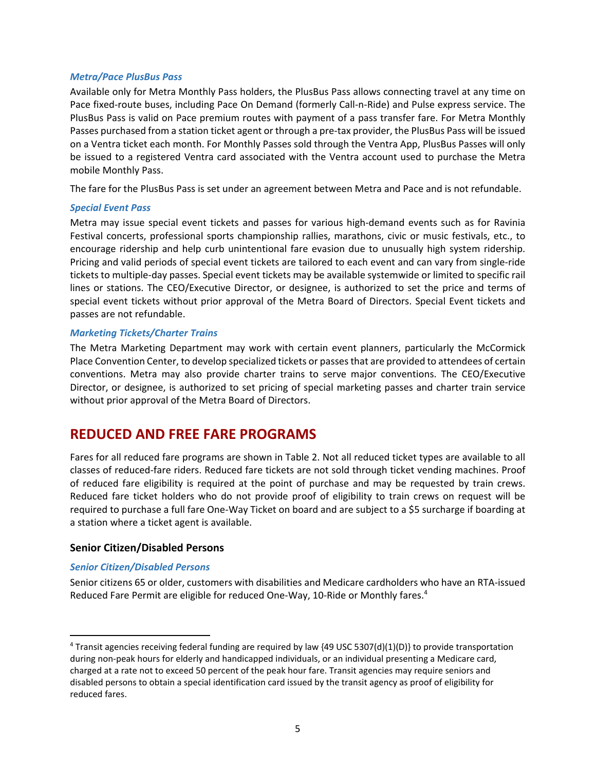#### *Metra/Pace PlusBus Pass*

Available only for Metra Monthly Pass holders, the PlusBus Pass allows connecting travel at any time on Pace fixed‐route buses, including Pace On Demand (formerly Call‐n‐Ride) and Pulse express service. The PlusBus Pass is valid on Pace premium routes with payment of a pass transfer fare. For Metra Monthly Passes purchased from a station ticket agent or through a pre‐tax provider, the PlusBus Pass will be issued on a Ventra ticket each month. For Monthly Passes sold through the Ventra App, PlusBus Passes will only be issued to a registered Ventra card associated with the Ventra account used to purchase the Metra mobile Monthly Pass.

The fare for the PlusBus Pass is set under an agreement between Metra and Pace and is not refundable.

#### *Special Event Pass*

Metra may issue special event tickets and passes for various high‐demand events such as for Ravinia Festival concerts, professional sports championship rallies, marathons, civic or music festivals, etc., to encourage ridership and help curb unintentional fare evasion due to unusually high system ridership. Pricing and valid periods of special event tickets are tailored to each event and can vary from single‐ride tickets to multiple‐day passes. Special event tickets may be available systemwide or limited to specific rail lines or stations. The CEO/Executive Director, or designee, is authorized to set the price and terms of special event tickets without prior approval of the Metra Board of Directors. Special Event tickets and passes are not refundable.

#### *Marketing Tickets/Charter Trains*

The Metra Marketing Department may work with certain event planners, particularly the McCormick Place Convention Center, to develop specialized tickets or passes that are provided to attendees of certain conventions. Metra may also provide charter trains to serve major conventions. The CEO/Executive Director, or designee, is authorized to set pricing of special marketing passes and charter train service without prior approval of the Metra Board of Directors.

# **REDUCED AND FREE FARE PROGRAMS**

Fares for all reduced fare programs are shown in Table 2. Not all reduced ticket types are available to all classes of reduced‐fare riders. Reduced fare tickets are not sold through ticket vending machines. Proof of reduced fare eligibility is required at the point of purchase and may be requested by train crews. Reduced fare ticket holders who do not provide proof of eligibility to train crews on request will be required to purchase a full fare One‐Way Ticket on board and are subject to a \$5 surcharge if boarding at a station where a ticket agent is available.

### **Senior Citizen/Disabled Persons**

### *Senior Citizen/Disabled Persons*

Senior citizens 65 or older, customers with disabilities and Medicare cardholders who have an RTA‐issued Reduced Fare Permit are eligible for reduced One-Way, 10-Ride or Monthly fares.<sup>4</sup>

<sup>&</sup>lt;sup>4</sup> Transit agencies receiving federal funding are required by law {49 USC 5307(d)(1)(D)} to provide transportation during non‐peak hours for elderly and handicapped individuals, or an individual presenting a Medicare card, charged at a rate not to exceed 50 percent of the peak hour fare. Transit agencies may require seniors and disabled persons to obtain a special identification card issued by the transit agency as proof of eligibility for reduced fares.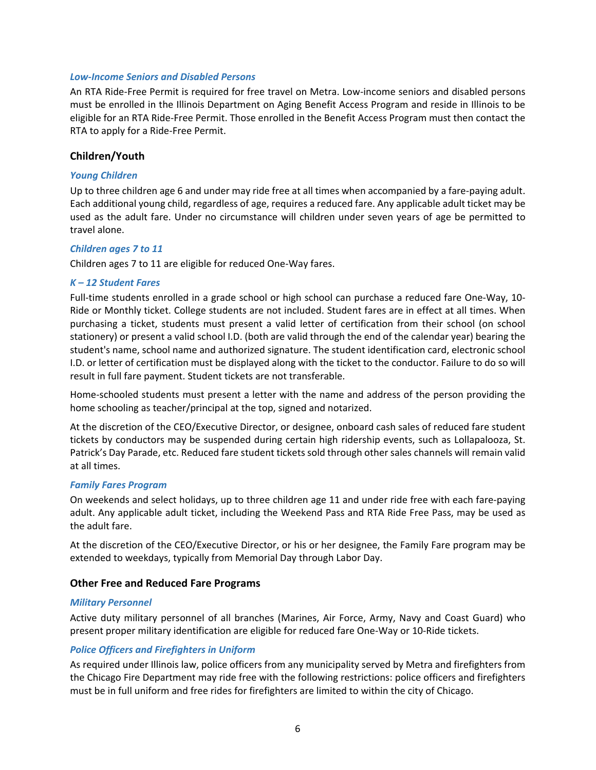#### *Low‐Income Seniors and Disabled Persons*

An RTA Ride‐Free Permit is required for free travel on Metra. Low‐income seniors and disabled persons must be enrolled in the Illinois Department on Aging Benefit Access Program and reside in Illinois to be eligible for an RTA Ride‐Free Permit. Those enrolled in the Benefit Access Program must then contact the RTA to apply for a Ride‐Free Permit.

#### **Children/Youth**

#### *Young Children*

Up to three children age 6 and under may ride free at all times when accompanied by a fare-paying adult. Each additional young child, regardless of age, requires a reduced fare. Any applicable adult ticket may be used as the adult fare. Under no circumstance will children under seven years of age be permitted to travel alone.

#### *Children ages 7 to 11*

Children ages 7 to 11 are eligible for reduced One‐Way fares.

#### *K – 12 Student Fares*

Full-time students enrolled in a grade school or high school can purchase a reduced fare One-Way, 10-Ride or Monthly ticket. College students are not included. Student fares are in effect at all times. When purchasing a ticket, students must present a valid letter of certification from their school (on school stationery) or present a valid school I.D. (both are valid through the end of the calendar year) bearing the student's name, school name and authorized signature. The student identification card, electronic school I.D. or letter of certification must be displayed along with the ticket to the conductor. Failure to do so will result in full fare payment. Student tickets are not transferable.

Home‐schooled students must present a letter with the name and address of the person providing the home schooling as teacher/principal at the top, signed and notarized.

At the discretion of the CEO/Executive Director, or designee, onboard cash sales of reduced fare student tickets by conductors may be suspended during certain high ridership events, such as Lollapalooza, St. Patrick's Day Parade, etc. Reduced fare student tickets sold through other sales channels will remain valid at all times.

#### *Family Fares Program*

On weekends and select holidays, up to three children age 11 and under ride free with each fare‐paying adult. Any applicable adult ticket, including the Weekend Pass and RTA Ride Free Pass, may be used as the adult fare.

At the discretion of the CEO/Executive Director, or his or her designee, the Family Fare program may be extended to weekdays, typically from Memorial Day through Labor Day.

#### **Other Free and Reduced Fare Programs**

#### *Military Personnel*

Active duty military personnel of all branches (Marines, Air Force, Army, Navy and Coast Guard) who present proper military identification are eligible for reduced fare One‐Way or 10‐Ride tickets.

#### *Police Officers and Firefighters in Uniform*

As required under Illinois law, police officers from any municipality served by Metra and firefighters from the Chicago Fire Department may ride free with the following restrictions: police officers and firefighters must be in full uniform and free rides for firefighters are limited to within the city of Chicago.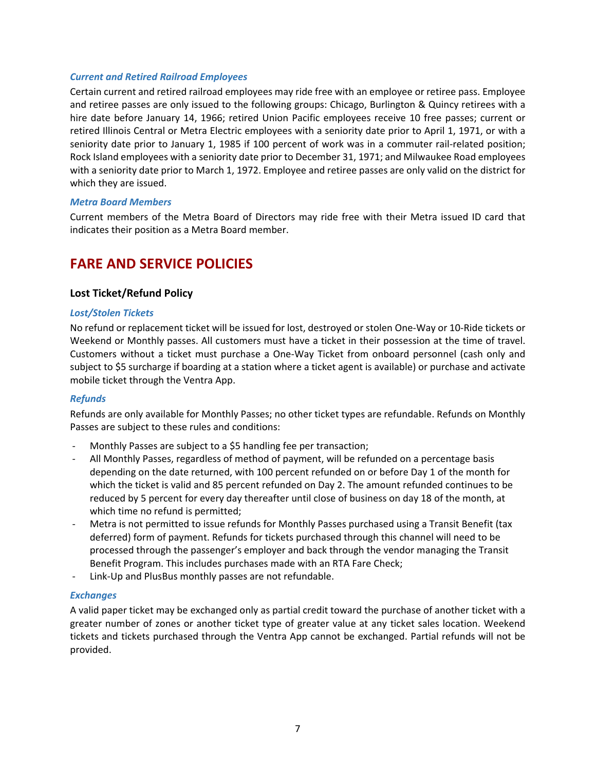#### *Current and Retired Railroad Employees*

Certain current and retired railroad employees may ride free with an employee or retiree pass. Employee and retiree passes are only issued to the following groups: Chicago, Burlington & Quincy retirees with a hire date before January 14, 1966; retired Union Pacific employees receive 10 free passes; current or retired Illinois Central or Metra Electric employees with a seniority date prior to April 1, 1971, or with a seniority date prior to January 1, 1985 if 100 percent of work was in a commuter rail-related position; Rock Island employees with a seniority date prior to December 31, 1971; and Milwaukee Road employees with a seniority date prior to March 1, 1972. Employee and retiree passes are only valid on the district for which they are issued.

#### *Metra Board Members*

Current members of the Metra Board of Directors may ride free with their Metra issued ID card that indicates their position as a Metra Board member.

# **FARE AND SERVICE POLICIES**

### **Lost Ticket/Refund Policy**

#### *Lost/Stolen Tickets*

No refund or replacement ticket will be issued for lost, destroyed or stolen One‐Way or 10‐Ride tickets or Weekend or Monthly passes. All customers must have a ticket in their possession at the time of travel. Customers without a ticket must purchase a One‐Way Ticket from onboard personnel (cash only and subject to \$5 surcharge if boarding at a station where a ticket agent is available) or purchase and activate mobile ticket through the Ventra App.

### *Refunds*

Refunds are only available for Monthly Passes; no other ticket types are refundable. Refunds on Monthly Passes are subject to these rules and conditions:

- Monthly Passes are subject to a \$5 handling fee per transaction;
- ‐ All Monthly Passes, regardless of method of payment, will be refunded on a percentage basis depending on the date returned, with 100 percent refunded on or before Day 1 of the month for which the ticket is valid and 85 percent refunded on Day 2. The amount refunded continues to be reduced by 5 percent for every day thereafter until close of business on day 18 of the month, at which time no refund is permitted;
- Metra is not permitted to issue refunds for Monthly Passes purchased using a Transit Benefit (tax deferred) form of payment. Refunds for tickets purchased through this channel will need to be processed through the passenger's employer and back through the vendor managing the Transit Benefit Program. This includes purchases made with an RTA Fare Check;
- ‐ Link‐Up and PlusBus monthly passes are not refundable.

### *Exchanges*

A valid paper ticket may be exchanged only as partial credit toward the purchase of another ticket with a greater number of zones or another ticket type of greater value at any ticket sales location. Weekend tickets and tickets purchased through the Ventra App cannot be exchanged. Partial refunds will not be provided.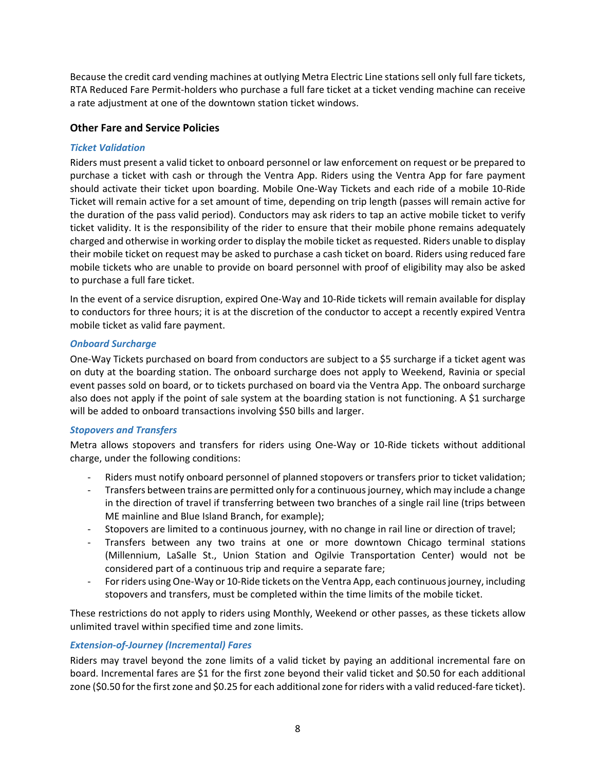Because the credit card vending machines at outlying Metra Electric Line stations sell only full fare tickets, RTA Reduced Fare Permit‐holders who purchase a full fare ticket at a ticket vending machine can receive a rate adjustment at one of the downtown station ticket windows.

### **Other Fare and Service Policies**

### *Ticket Validation*

Riders must present a valid ticket to onboard personnel or law enforcement on request or be prepared to purchase a ticket with cash or through the Ventra App. Riders using the Ventra App for fare payment should activate their ticket upon boarding. Mobile One‐Way Tickets and each ride of a mobile 10‐Ride Ticket will remain active for a set amount of time, depending on trip length (passes will remain active for the duration of the pass valid period). Conductors may ask riders to tap an active mobile ticket to verify ticket validity. It is the responsibility of the rider to ensure that their mobile phone remains adequately charged and otherwise in working order to display the mobile ticket as requested. Riders unable to display their mobile ticket on request may be asked to purchase a cash ticket on board. Riders using reduced fare mobile tickets who are unable to provide on board personnel with proof of eligibility may also be asked to purchase a full fare ticket.

In the event of a service disruption, expired One‐Way and 10‐Ride tickets will remain available for display to conductors for three hours; it is at the discretion of the conductor to accept a recently expired Ventra mobile ticket as valid fare payment.

### *Onboard Surcharge*

One‐Way Tickets purchased on board from conductors are subject to a \$5 surcharge if a ticket agent was on duty at the boarding station. The onboard surcharge does not apply to Weekend, Ravinia or special event passes sold on board, or to tickets purchased on board via the Ventra App. The onboard surcharge also does not apply if the point of sale system at the boarding station is not functioning. A \$1 surcharge will be added to onboard transactions involving \$50 bills and larger.

## *Stopovers and Transfers*

Metra allows stopovers and transfers for riders using One-Way or 10-Ride tickets without additional charge, under the following conditions:

- ‐ Riders must notify onboard personnel of planned stopovers or transfers prior to ticket validation;
- ‐ Transfers between trains are permitted only for a continuous journey, which may include a change in the direction of travel if transferring between two branches of a single rail line (trips between ME mainline and Blue Island Branch, for example);
- ‐ Stopovers are limited to a continuous journey, with no change in rail line or direction of travel;
- Transfers between any two trains at one or more downtown Chicago terminal stations (Millennium, LaSalle St., Union Station and Ogilvie Transportation Center) would not be considered part of a continuous trip and require a separate fare;
- ‐ For riders using One‐Way or 10‐Ride tickets on the Ventra App, each continuous journey, including stopovers and transfers, must be completed within the time limits of the mobile ticket.

These restrictions do not apply to riders using Monthly, Weekend or other passes, as these tickets allow unlimited travel within specified time and zone limits.

### *Extension‐of‐Journey (Incremental) Fares*

Riders may travel beyond the zone limits of a valid ticket by paying an additional incremental fare on board. Incremental fares are \$1 for the first zone beyond their valid ticket and \$0.50 for each additional zone (\$0.50 for the first zone and \$0.25 for each additional zone for riders with a valid reduced-fare ticket).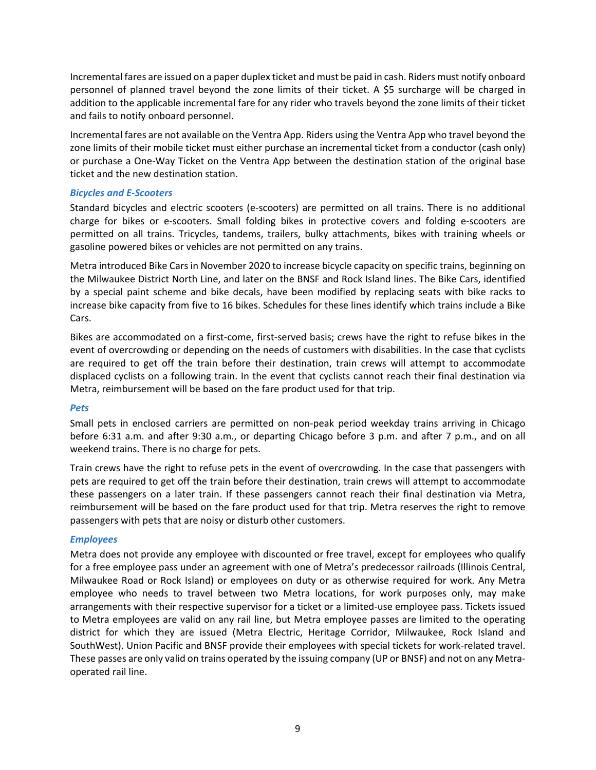Incremental fares are issued on a paper duplex ticket and must be paid in cash. Riders must notify onboard personnel of planned travel beyond the zone limits of their ticket. A \$5 surcharge will be charged in addition to the applicable incremental fare for any rider who travels beyond the zone limits of their ticket and fails to notify onboard personnel.

Incremental fares are not available on the Ventra App. Riders using the Ventra App who travel beyond the zone limits of their mobile ticket must either purchase an incremental ticket from a conductor (cash only) or purchase a One‐Way Ticket on the Ventra App between the destination station of the original base ticket and the new destination station.

### *Bicycles and E‐Scooters*

Standard bicycles and electric scooters (e-scooters) are permitted on all trains. There is no additional charge for bikes or e‐scooters. Small folding bikes in protective covers and folding e‐scooters are permitted on all trains. Tricycles, tandems, trailers, bulky attachments, bikes with training wheels or gasoline powered bikes or vehicles are not permitted on any trains.

Metra introduced Bike Cars in November 2020 to increase bicycle capacity on specific trains, beginning on the Milwaukee District North Line, and later on the BNSF and Rock Island lines. The Bike Cars, identified by a special paint scheme and bike decals, have been modified by replacing seats with bike racks to increase bike capacity from five to 16 bikes. Schedules for these lines identify which trains include a Bike Cars.

Bikes are accommodated on a first-come, first-served basis; crews have the right to refuse bikes in the event of overcrowding or depending on the needs of customers with disabilities. In the case that cyclists are required to get off the train before their destination, train crews will attempt to accommodate displaced cyclists on a following train. In the event that cyclists cannot reach their final destination via Metra, reimbursement will be based on the fare product used for that trip.

### *Pets*

Small pets in enclosed carriers are permitted on non‐peak period weekday trains arriving in Chicago before 6:31 a.m. and after 9:30 a.m., or departing Chicago before 3 p.m. and after 7 p.m., and on all weekend trains. There is no charge for pets.

Train crews have the right to refuse pets in the event of overcrowding. In the case that passengers with pets are required to get off the train before their destination, train crews will attempt to accommodate these passengers on a later train. If these passengers cannot reach their final destination via Metra, reimbursement will be based on the fare product used for that trip. Metra reserves the right to remove passengers with pets that are noisy or disturb other customers.

## *Employees*

Metra does not provide any employee with discounted or free travel, except for employees who qualify for a free employee pass under an agreement with one of Metra's predecessor railroads (Illinois Central, Milwaukee Road or Rock Island) or employees on duty or as otherwise required for work. Any Metra employee who needs to travel between two Metra locations, for work purposes only, may make arrangements with their respective supervisor for a ticket or a limited-use employee pass. Tickets issued to Metra employees are valid on any rail line, but Metra employee passes are limited to the operating district for which they are issued (Metra Electric, Heritage Corridor, Milwaukee, Rock Island and SouthWest). Union Pacific and BNSF provide their employees with special tickets for work‐related travel. These passes are only valid on trains operated by the issuing company (UP or BNSF) and not on any Metra‐ operated rail line.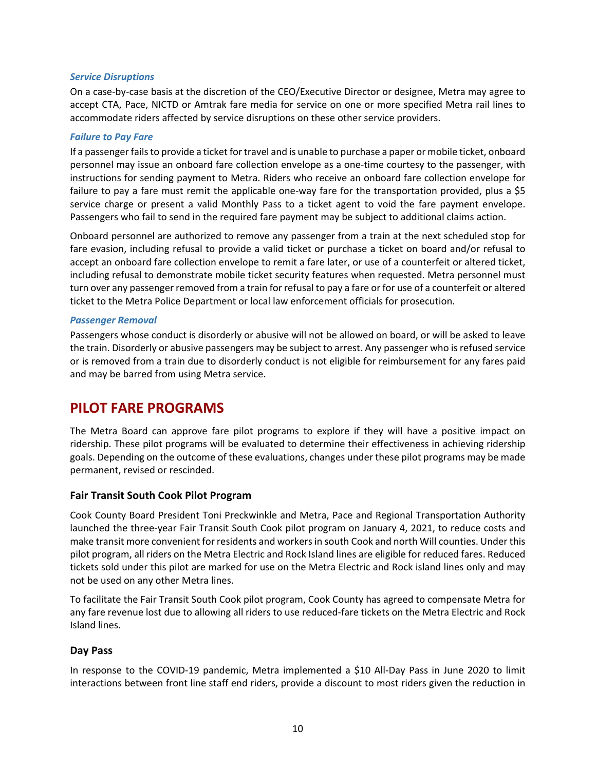#### *Service Disruptions*

On a case‐by‐case basis at the discretion of the CEO/Executive Director or designee, Metra may agree to accept CTA, Pace, NICTD or Amtrak fare media for service on one or more specified Metra rail lines to accommodate riders affected by service disruptions on these other service providers.

#### *Failure to Pay Fare*

If a passenger fails to provide a ticket for travel and is unable to purchase a paper or mobile ticket, onboard personnel may issue an onboard fare collection envelope as a one-time courtesy to the passenger, with instructions for sending payment to Metra. Riders who receive an onboard fare collection envelope for failure to pay a fare must remit the applicable one-way fare for the transportation provided, plus a \$5 service charge or present a valid Monthly Pass to a ticket agent to void the fare payment envelope. Passengers who fail to send in the required fare payment may be subject to additional claims action.

Onboard personnel are authorized to remove any passenger from a train at the next scheduled stop for fare evasion, including refusal to provide a valid ticket or purchase a ticket on board and/or refusal to accept an onboard fare collection envelope to remit a fare later, or use of a counterfeit or altered ticket, including refusal to demonstrate mobile ticket security features when requested. Metra personnel must turn over any passenger removed from a train for refusal to pay a fare or for use of a counterfeit or altered ticket to the Metra Police Department or local law enforcement officials for prosecution.

#### *Passenger Removal*

Passengers whose conduct is disorderly or abusive will not be allowed on board, or will be asked to leave the train. Disorderly or abusive passengers may be subject to arrest. Any passenger who is refused service or is removed from a train due to disorderly conduct is not eligible for reimbursement for any fares paid and may be barred from using Metra service.

# **PILOT FARE PROGRAMS**

The Metra Board can approve fare pilot programs to explore if they will have a positive impact on ridership. These pilot programs will be evaluated to determine their effectiveness in achieving ridership goals. Depending on the outcome of these evaluations, changes under these pilot programs may be made permanent, revised or rescinded.

### **Fair Transit South Cook Pilot Program**

Cook County Board President Toni Preckwinkle and Metra, Pace and Regional Transportation Authority launched the three‐year Fair Transit South Cook pilot program on January 4, 2021, to reduce costs and make transit more convenient for residents and workers in south Cook and north Will counties. Under this pilot program, all riders on the Metra Electric and Rock Island lines are eligible for reduced fares. Reduced tickets sold under this pilot are marked for use on the Metra Electric and Rock island lines only and may not be used on any other Metra lines.

To facilitate the Fair Transit South Cook pilot program, Cook County has agreed to compensate Metra for any fare revenue lost due to allowing all riders to use reduced-fare tickets on the Metra Electric and Rock Island lines.

### **Day Pass**

In response to the COVID-19 pandemic, Metra implemented a \$10 All-Day Pass in June 2020 to limit interactions between front line staff end riders, provide a discount to most riders given the reduction in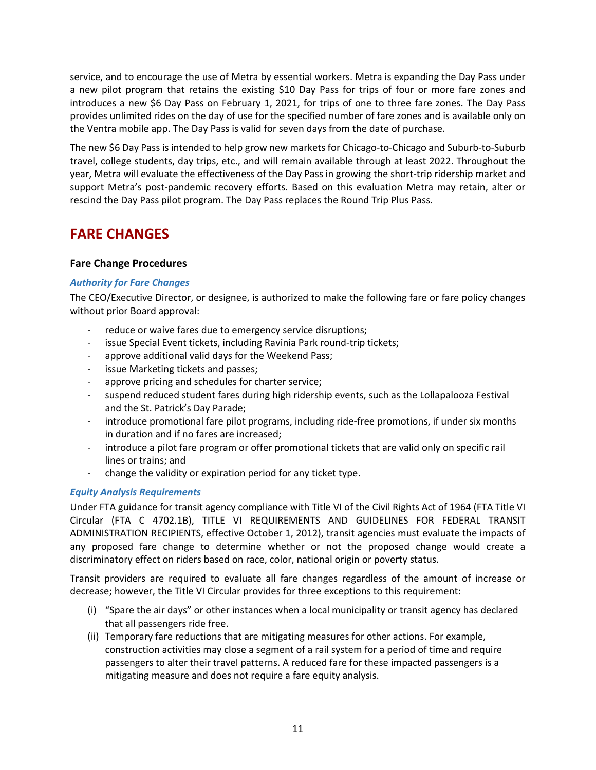service, and to encourage the use of Metra by essential workers. Metra is expanding the Day Pass under a new pilot program that retains the existing \$10 Day Pass for trips of four or more fare zones and introduces a new \$6 Day Pass on February 1, 2021, for trips of one to three fare zones. The Day Pass provides unlimited rides on the day of use for the specified number of fare zones and is available only on the Ventra mobile app. The Day Pass is valid for seven days from the date of purchase.

The new \$6 Day Pass is intended to help grow new markets for Chicago‐to‐Chicago and Suburb‐to‐Suburb travel, college students, day trips, etc., and will remain available through at least 2022. Throughout the year, Metra will evaluate the effectiveness of the Day Pass in growing the short‐trip ridership market and support Metra's post‐pandemic recovery efforts. Based on this evaluation Metra may retain, alter or rescind the Day Pass pilot program. The Day Pass replaces the Round Trip Plus Pass.

# **FARE CHANGES**

## **Fare Change Procedures**

## *Authority for Fare Changes*

The CEO/Executive Director, or designee, is authorized to make the following fare or fare policy changes without prior Board approval:

- ‐ reduce or waive fares due to emergency service disruptions;
- ‐ issue Special Event tickets, including Ravinia Park round‐trip tickets;
- ‐ approve additional valid days for the Weekend Pass;
- issue Marketing tickets and passes;
- ‐ approve pricing and schedules for charter service;
- ‐ suspend reduced student fares during high ridership events, such as the Lollapalooza Festival and the St. Patrick's Day Parade;
- ‐ introduce promotional fare pilot programs, including ride‐free promotions, if under six months in duration and if no fares are increased;
- ‐ introduce a pilot fare program or offer promotional tickets that are valid only on specific rail lines or trains; and
- ‐ change the validity or expiration period for any ticket type.

## *Equity Analysis Requirements*

Under FTA guidance for transit agency compliance with Title VI of the Civil Rights Act of 1964 (FTA Title VI Circular (FTA C 4702.1B), TITLE VI REQUIREMENTS AND GUIDELINES FOR FEDERAL TRANSIT ADMINISTRATION RECIPIENTS, effective October 1, 2012), transit agencies must evaluate the impacts of any proposed fare change to determine whether or not the proposed change would create a discriminatory effect on riders based on race, color, national origin or poverty status.

Transit providers are required to evaluate all fare changes regardless of the amount of increase or decrease; however, the Title VI Circular provides for three exceptions to this requirement:

- (i) "Spare the air days" or other instances when a local municipality or transit agency has declared that all passengers ride free.
- (ii) Temporary fare reductions that are mitigating measures for other actions. For example, construction activities may close a segment of a rail system for a period of time and require passengers to alter their travel patterns. A reduced fare for these impacted passengers is a mitigating measure and does not require a fare equity analysis.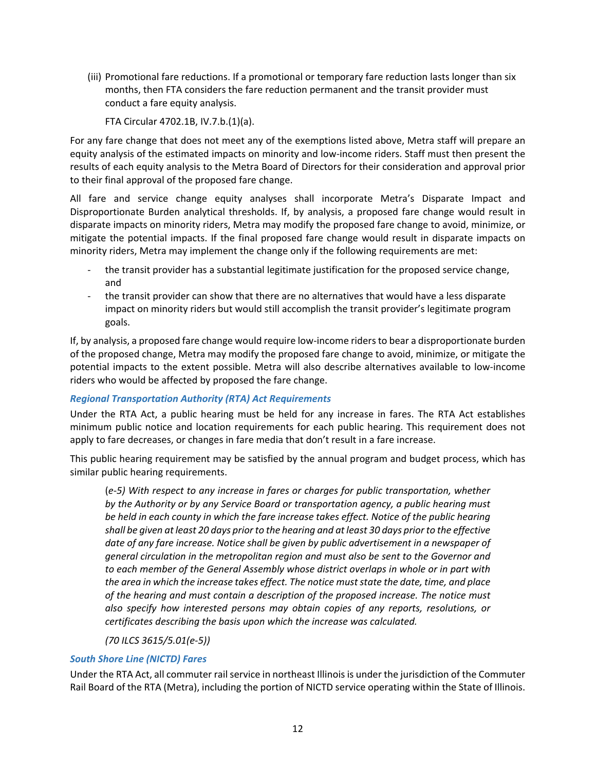(iii) Promotional fare reductions. If a promotional or temporary fare reduction lasts longer than six months, then FTA considers the fare reduction permanent and the transit provider must conduct a fare equity analysis.

FTA Circular 4702.1B, IV.7.b.(1)(a).

For any fare change that does not meet any of the exemptions listed above, Metra staff will prepare an equity analysis of the estimated impacts on minority and low‐income riders. Staff must then present the results of each equity analysis to the Metra Board of Directors for their consideration and approval prior to their final approval of the proposed fare change.

All fare and service change equity analyses shall incorporate Metra's Disparate Impact and Disproportionate Burden analytical thresholds. If, by analysis, a proposed fare change would result in disparate impacts on minority riders, Metra may modify the proposed fare change to avoid, minimize, or mitigate the potential impacts. If the final proposed fare change would result in disparate impacts on minority riders, Metra may implement the change only if the following requirements are met:

- ‐ the transit provider has a substantial legitimate justification for the proposed service change, and
- ‐ the transit provider can show that there are no alternatives that would have a less disparate impact on minority riders but would still accomplish the transit provider's legitimate program goals.

If, by analysis, a proposed fare change would require low‐income riders to bear a disproportionate burden of the proposed change, Metra may modify the proposed fare change to avoid, minimize, or mitigate the potential impacts to the extent possible. Metra will also describe alternatives available to low‐income riders who would be affected by proposed the fare change.

## *Regional Transportation Authority (RTA) Act Requirements*

Under the RTA Act, a public hearing must be held for any increase in fares. The RTA Act establishes minimum public notice and location requirements for each public hearing. This requirement does not apply to fare decreases, or changes in fare media that don't result in a fare increase.

This public hearing requirement may be satisfied by the annual program and budget process, which has similar public hearing requirements.

(*e‐5) With respect to any increase in fares or charges for public transportation, whether by the Authority or by any Service Board or transportation agency, a public hearing must be held in each county in which the fare increase takes effect. Notice of the public hearing shall be given at least 20 days prior to the hearing and at least 30 days prior to the effective date of any fare increase. Notice shall be given by public advertisement in a newspaper of general circulation in the metropolitan region and must also be sent to the Governor and to each member of the General Assembly whose district overlaps in whole or in part with the area in which the increase takes effect. The notice must state the date, time, and place of the hearing and must contain a description of the proposed increase. The notice must also specify how interested persons may obtain copies of any reports, resolutions, or certificates describing the basis upon which the increase was calculated.* 

### *(70 ILCS 3615/5.01(e‐5))*

## *South Shore Line (NICTD) Fares*

Under the RTA Act, all commuter rail service in northeast Illinois is under the jurisdiction of the Commuter Rail Board of the RTA (Metra), including the portion of NICTD service operating within the State of Illinois.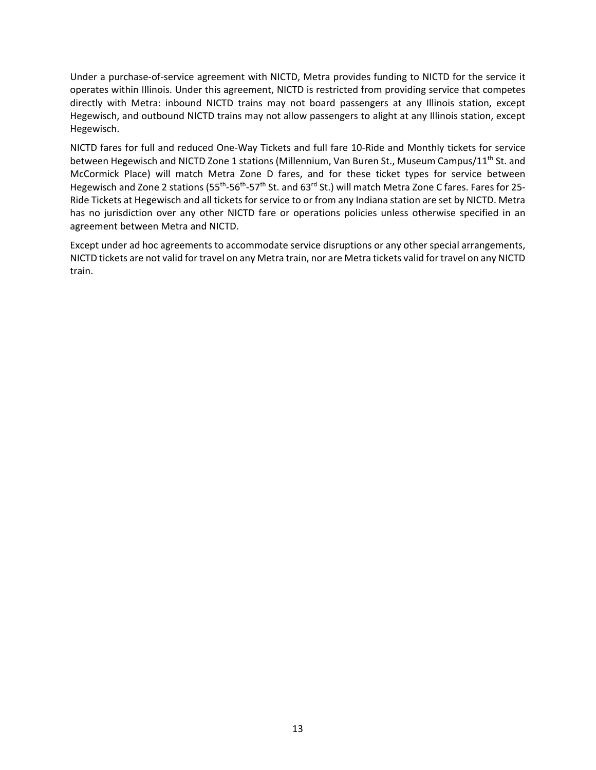Under a purchase‐of‐service agreement with NICTD, Metra provides funding to NICTD for the service it operates within Illinois. Under this agreement, NICTD is restricted from providing service that competes directly with Metra: inbound NICTD trains may not board passengers at any Illinois station, except Hegewisch, and outbound NICTD trains may not allow passengers to alight at any Illinois station, except Hegewisch.

NICTD fares for full and reduced One‐Way Tickets and full fare 10‐Ride and Monthly tickets for service between Hegewisch and NICTD Zone 1 stations (Millennium, Van Buren St., Museum Campus/11<sup>th</sup> St. and McCormick Place) will match Metra Zone D fares, and for these ticket types for service between Hegewisch and Zone 2 stations (55<sup>th</sup>-56<sup>th</sup>-57<sup>th</sup> St. and 63<sup>rd</sup> St.) will match Metra Zone C fares. Fares for 25-Ride Tickets at Hegewisch and all tickets for service to or from any Indiana station are set by NICTD. Metra has no jurisdiction over any other NICTD fare or operations policies unless otherwise specified in an agreement between Metra and NICTD.

Except under ad hoc agreements to accommodate service disruptions or any other special arrangements, NICTD tickets are not valid for travel on any Metra train, nor are Metra tickets valid for travel on any NICTD train.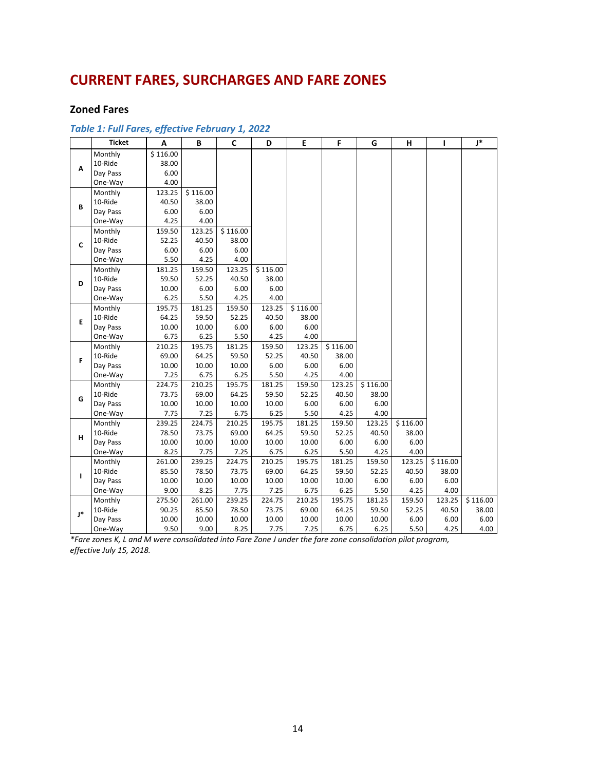# **CURRENT FARES, SURCHARGES AND FARE ZONES**

### **Zoned Fares**

|              | <b>Ticket</b> | A        | B        | $\mathbf c$ | D        | E        | F        | G        | н        | т        | <sup>*</sup> |
|--------------|---------------|----------|----------|-------------|----------|----------|----------|----------|----------|----------|--------------|
|              | Monthly       | \$116.00 |          |             |          |          |          |          |          |          |              |
| A            | 10-Ride       | 38.00    |          |             |          |          |          |          |          |          |              |
|              | Day Pass      | 6.00     |          |             |          |          |          |          |          |          |              |
|              | One-Way       | 4.00     |          |             |          |          |          |          |          |          |              |
|              | Monthly       | 123.25   | \$116.00 |             |          |          |          |          |          |          |              |
| B            | 10-Ride       | 40.50    | 38.00    |             |          |          |          |          |          |          |              |
|              | Day Pass      | 6.00     | 6.00     |             |          |          |          |          |          |          |              |
|              | One-Way       | 4.25     | 4.00     |             |          |          |          |          |          |          |              |
|              | Monthly       | 159.50   | 123.25   | \$116.00    |          |          |          |          |          |          |              |
| C            | 10-Ride       | 52.25    | 40.50    | 38.00       |          |          |          |          |          |          |              |
|              | Day Pass      | 6.00     | 6.00     | 6.00        |          |          |          |          |          |          |              |
|              | One-Way       | 5.50     | 4.25     | 4.00        |          |          |          |          |          |          |              |
|              | Monthly       | 181.25   | 159.50   | 123.25      | \$116.00 |          |          |          |          |          |              |
| D            | 10-Ride       | 59.50    | 52.25    | 40.50       | 38.00    |          |          |          |          |          |              |
|              | Day Pass      | 10.00    | 6.00     | 6.00        | 6.00     |          |          |          |          |          |              |
|              | One-Way       | 6.25     | 5.50     | 4.25        | 4.00     |          |          |          |          |          |              |
|              | Monthly       | 195.75   | 181.25   | 159.50      | 123.25   | \$116.00 |          |          |          |          |              |
| E.           | 10-Ride       | 64.25    | 59.50    | 52.25       | 40.50    | 38.00    |          |          |          |          |              |
|              | Day Pass      | 10.00    | 10.00    | 6.00        | 6.00     | 6.00     |          |          |          |          |              |
|              | One-Way       | 6.75     | 6.25     | 5.50        | 4.25     | 4.00     |          |          |          |          |              |
|              | Monthly       | 210.25   | 195.75   | 181.25      | 159.50   | 123.25   | \$116.00 |          |          |          |              |
| F            | 10-Ride       | 69.00    | 64.25    | 59.50       | 52.25    | 40.50    | 38.00    |          |          |          |              |
|              | Day Pass      | 10.00    | 10.00    | 10.00       | 6.00     | 6.00     | 6.00     |          |          |          |              |
|              | One-Way       | 7.25     | 6.75     | 6.25        | 5.50     | 4.25     | 4.00     |          |          |          |              |
|              | Monthly       | 224.75   | 210.25   | 195.75      | 181.25   | 159.50   | 123.25   | \$116.00 |          |          |              |
| G            | 10-Ride       | 73.75    | 69.00    | 64.25       | 59.50    | 52.25    | 40.50    | 38.00    |          |          |              |
|              | Day Pass      | 10.00    | 10.00    | 10.00       | 10.00    | 6.00     | 6.00     | 6.00     |          |          |              |
|              | One-Way       | 7.75     | 7.25     | 6.75        | 6.25     | 5.50     | 4.25     | 4.00     |          |          |              |
|              | Monthly       | 239.25   | 224.75   | 210.25      | 195.75   | 181.25   | 159.50   | 123.25   | \$116.00 |          |              |
| н            | 10-Ride       | 78.50    | 73.75    | 69.00       | 64.25    | 59.50    | 52.25    | 40.50    | 38.00    |          |              |
|              | Day Pass      | 10.00    | 10.00    | 10.00       | 10.00    | 10.00    | 6.00     | 6.00     | 6.00     |          |              |
|              | One-Way       | 8.25     | 7.75     | 7.25        | 6.75     | 6.25     | 5.50     | 4.25     | 4.00     |          |              |
|              | Monthly       | 261.00   | 239.25   | 224.75      | 210.25   | 195.75   | 181.25   | 159.50   | 123.25   | \$116.00 |              |
| $\mathbf{I}$ | 10-Ride       | 85.50    | 78.50    | 73.75       | 69.00    | 64.25    | 59.50    | 52.25    | 40.50    | 38.00    |              |
|              | Day Pass      | 10.00    | 10.00    | 10.00       | 10.00    | 10.00    | 10.00    | 6.00     | 6.00     | 6.00     |              |
|              | One-Way       | 9.00     | 8.25     | 7.75        | 7.25     | 6.75     | 6.25     | 5.50     | 4.25     | 4.00     |              |
|              | Monthly       | 275.50   | 261.00   | 239.25      | 224.75   | 210.25   | 195.75   | 181.25   | 159.50   | 123.25   | \$116.00     |
| l*           | 10-Ride       | 90.25    | 85.50    | 78.50       | 73.75    | 69.00    | 64.25    | 59.50    | 52.25    | 40.50    | 38.00        |
|              | Day Pass      | 10.00    | 10.00    | 10.00       | 10.00    | 10.00    | 10.00    | 10.00    | 6.00     | 6.00     | 6.00         |
|              | One-Way       | 9.50     | 9.00     | 8.25        | 7.75     | 7.25     | 6.75     | 6.25     | 5.50     | 4.25     | 4.00         |

### *Table 1: Full Fares, effective February 1, 2022*

*\*Fare zones K, L and M were consolidated into Fare Zone J under the fare zone consolidation pilot program, effective July 15, 2018.*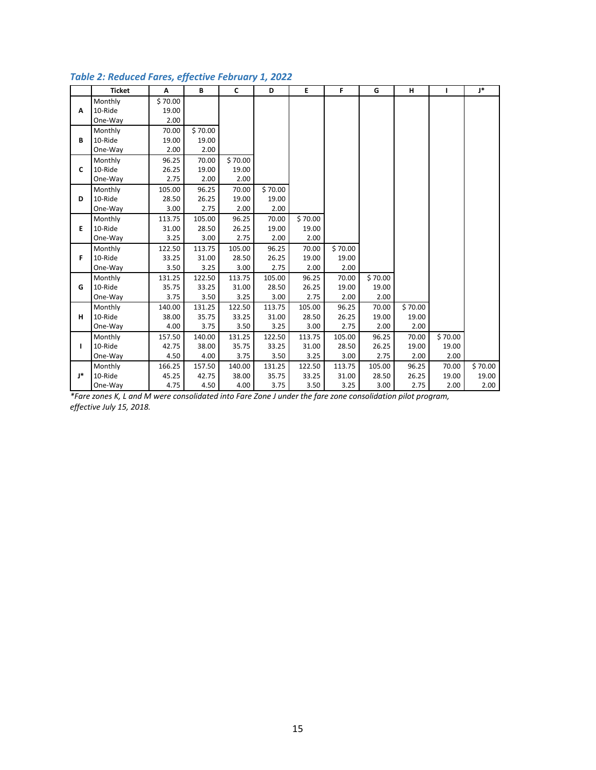|              | <b>Ticket</b> | Α       | B       | $\mathsf{C}$ | D       | E.      | F       | G       | н       | ı       | J*      |
|--------------|---------------|---------|---------|--------------|---------|---------|---------|---------|---------|---------|---------|
|              | Monthly       | \$70.00 |         |              |         |         |         |         |         |         |         |
| A            | 10-Ride       | 19.00   |         |              |         |         |         |         |         |         |         |
|              | One-Way       | 2.00    |         |              |         |         |         |         |         |         |         |
|              | Monthly       | 70.00   | \$70.00 |              |         |         |         |         |         |         |         |
| B            | 10-Ride       | 19.00   | 19.00   |              |         |         |         |         |         |         |         |
|              | One-Way       | 2.00    | 2.00    |              |         |         |         |         |         |         |         |
|              | Monthly       | 96.25   | 70.00   | \$70.00      |         |         |         |         |         |         |         |
| C            | 10-Ride       | 26.25   | 19.00   | 19.00        |         |         |         |         |         |         |         |
|              | One-Way       | 2.75    | 2.00    | 2.00         |         |         |         |         |         |         |         |
|              | Monthly       | 105.00  | 96.25   | 70.00        | \$70.00 |         |         |         |         |         |         |
| D            | 10-Ride       | 28.50   | 26.25   | 19.00        | 19.00   |         |         |         |         |         |         |
|              | One-Way       | 3.00    | 2.75    | 2.00         | 2.00    |         |         |         |         |         |         |
|              | Monthly       | 113.75  | 105.00  | 96.25        | 70.00   | \$70.00 |         |         |         |         |         |
| E.           | 10-Ride       | 31.00   | 28.50   | 26.25        | 19.00   | 19.00   |         |         |         |         |         |
|              | One-Way       | 3.25    | 3.00    | 2.75         | 2.00    | 2.00    |         |         |         |         |         |
|              | Monthly       | 122.50  | 113.75  | 105.00       | 96.25   | 70.00   | \$70.00 |         |         |         |         |
| F            | 10-Ride       | 33.25   | 31.00   | 28.50        | 26.25   | 19.00   | 19.00   |         |         |         |         |
|              | One-Way       | 3.50    | 3.25    | 3.00         | 2.75    | 2.00    | 2.00    |         |         |         |         |
|              | Monthly       | 131.25  | 122.50  | 113.75       | 105.00  | 96.25   | 70.00   | \$70.00 |         |         |         |
| G            | 10-Ride       | 35.75   | 33.25   | 31.00        | 28.50   | 26.25   | 19.00   | 19.00   |         |         |         |
|              | One-Way       | 3.75    | 3.50    | 3.25         | 3.00    | 2.75    | 2.00    | 2.00    |         |         |         |
|              | Monthly       | 140.00  | 131.25  | 122.50       | 113.75  | 105.00  | 96.25   | 70.00   | \$70.00 |         |         |
| н            | 10-Ride       | 38.00   | 35.75   | 33.25        | 31.00   | 28.50   | 26.25   | 19.00   | 19.00   |         |         |
|              | One-Way       | 4.00    | 3.75    | 3.50         | 3.25    | 3.00    | 2.75    | 2.00    | 2.00    |         |         |
|              | Monthly       | 157.50  | 140.00  | 131.25       | 122.50  | 113.75  | 105.00  | 96.25   | 70.00   | \$70.00 |         |
| $\mathbf{L}$ | 10-Ride       | 42.75   | 38.00   | 35.75        | 33.25   | 31.00   | 28.50   | 26.25   | 19.00   | 19.00   |         |
|              | One-Way       | 4.50    | 4.00    | 3.75         | 3.50    | 3.25    | 3.00    | 2.75    | 2.00    | 2.00    |         |
|              | Monthly       | 166.25  | 157.50  | 140.00       | 131.25  | 122.50  | 113.75  | 105.00  | 96.25   | 70.00   | \$70.00 |
| J*           | 10-Ride       | 45.25   | 42.75   | 38.00        | 35.75   | 33.25   | 31.00   | 28.50   | 26.25   | 19.00   | 19.00   |
|              | One-Way       | 4.75    | 4.50    | 4.00         | 3.75    | 3.50    | 3.25    | 3.00    | 2.75    | 2.00    | 2.00    |

## *Table 2: Reduced Fares, effective February 1, 2022*

*\*Fare zones K, L and M were consolidated into Fare Zone J under the fare zone consolidation pilot program, effective July 15, 2018.*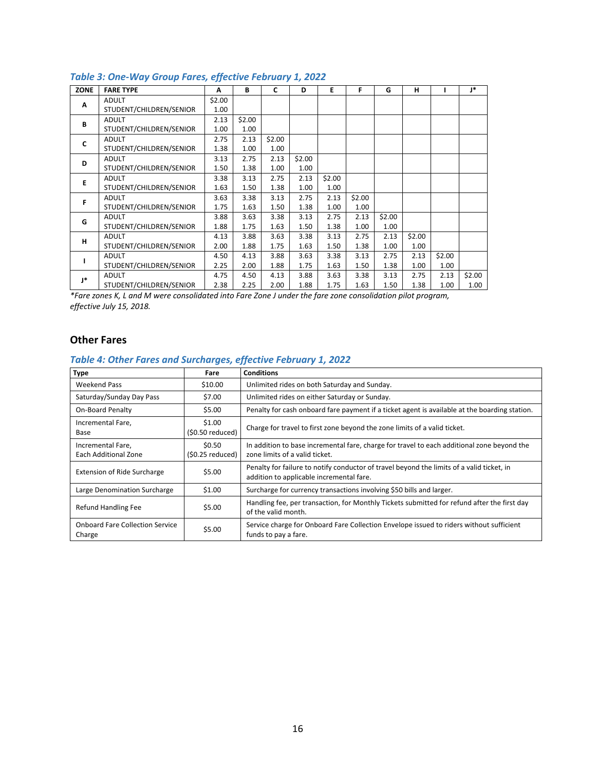| <b>ZONE</b>  | <b>FARE TYPE</b>        | A      | B      | C      | D      | Е      | F      | G      | н      |        | 1*     |
|--------------|-------------------------|--------|--------|--------|--------|--------|--------|--------|--------|--------|--------|
| A            | <b>ADULT</b>            | \$2.00 |        |        |        |        |        |        |        |        |        |
|              | STUDENT/CHILDREN/SENIOR | 1.00   |        |        |        |        |        |        |        |        |        |
| B            | <b>ADULT</b>            | 2.13   | \$2.00 |        |        |        |        |        |        |        |        |
|              | STUDENT/CHILDREN/SENIOR | 1.00   | 1.00   |        |        |        |        |        |        |        |        |
| $\mathbf{C}$ | <b>ADULT</b>            | 2.75   | 2.13   | \$2.00 |        |        |        |        |        |        |        |
|              | STUDENT/CHILDREN/SENIOR | 1.38   | 1.00   | 1.00   |        |        |        |        |        |        |        |
| D            | <b>ADULT</b>            | 3.13   | 2.75   | 2.13   | \$2.00 |        |        |        |        |        |        |
|              | STUDENT/CHILDREN/SENIOR | 1.50   | 1.38   | 1.00   | 1.00   |        |        |        |        |        |        |
| E            | <b>ADULT</b>            | 3.38   | 3.13   | 2.75   | 2.13   | \$2.00 |        |        |        |        |        |
|              | STUDENT/CHILDREN/SENIOR | 1.63   | 1.50   | 1.38   | 1.00   | 1.00   |        |        |        |        |        |
| F            | <b>ADULT</b>            | 3.63   | 3.38   | 3.13   | 2.75   | 2.13   | \$2.00 |        |        |        |        |
|              | STUDENT/CHILDREN/SENIOR | 1.75   | 1.63   | 1.50   | 1.38   | 1.00   | 1.00   |        |        |        |        |
| G            | <b>ADULT</b>            | 3.88   | 3.63   | 3.38   | 3.13   | 2.75   | 2.13   | \$2.00 |        |        |        |
|              | STUDENT/CHILDREN/SENIOR | 1.88   | 1.75   | 1.63   | 1.50   | 1.38   | 1.00   | 1.00   |        |        |        |
| н            | <b>ADULT</b>            | 4.13   | 3.88   | 3.63   | 3.38   | 3.13   | 2.75   | 2.13   | \$2.00 |        |        |
|              | STUDENT/CHILDREN/SENIOR | 2.00   | 1.88   | 1.75   | 1.63   | 1.50   | 1.38   | 1.00   | 1.00   |        |        |
|              | <b>ADULT</b>            | 4.50   | 4.13   | 3.88   | 3.63   | 3.38   | 3.13   | 2.75   | 2.13   | \$2.00 |        |
|              | STUDENT/CHILDREN/SENIOR | 2.25   | 2.00   | 1.88   | 1.75   | 1.63   | 1.50   | 1.38   | 1.00   | 1.00   |        |
| J*           | <b>ADULT</b>            | 4.75   | 4.50   | 4.13   | 3.88   | 3.63   | 3.38   | 3.13   | 2.75   | 2.13   | \$2.00 |
|              | STUDENT/CHILDREN/SENIOR | 2.38   | 2.25   | 2.00   | 1.88   | 1.75   | 1.63   | 1.50   | 1.38   | 1.00   | 1.00   |

## *Table 3: One‐Way Group Fares, effective February 1, 2022*

*\*Fare zones K, L and M were consolidated into Fare Zone J under the fare zone consolidation pilot program, effective July 15, 2018.* 

### **Other Fares**

## *Table 4: Other Fares and Surcharges, effective February 1, 2022*

| <b>Type</b>                                      | Fare                        | <b>Conditions</b>                                                                                                                     |
|--------------------------------------------------|-----------------------------|---------------------------------------------------------------------------------------------------------------------------------------|
| <b>Weekend Pass</b>                              | \$10.00                     | Unlimited rides on both Saturday and Sunday.                                                                                          |
| Saturday/Sunday Day Pass                         | \$7.00                      | Unlimited rides on either Saturday or Sunday.                                                                                         |
| On-Board Penalty                                 | \$5.00                      | Penalty for cash onboard fare payment if a ticket agent is available at the boarding station.                                         |
| Incremental Fare,<br>Base                        | \$1.00<br>(\$0.50 reduced)  | Charge for travel to first zone beyond the zone limits of a valid ticket.                                                             |
| Incremental Fare,<br>Each Additional Zone        | \$0.50<br>$(50.25$ reduced) | In addition to base incremental fare, charge for travel to each additional zone beyond the<br>zone limits of a valid ticket.          |
| <b>Extension of Ride Surcharge</b>               | \$5.00                      | Penalty for failure to notify conductor of travel beyond the limits of a valid ticket, in<br>addition to applicable incremental fare. |
| Large Denomination Surcharge                     | \$1.00                      | Surcharge for currency transactions involving \$50 bills and larger.                                                                  |
| <b>Refund Handling Fee</b>                       | \$5.00                      | Handling fee, per transaction, for Monthly Tickets submitted for refund after the first day<br>of the valid month.                    |
| <b>Onboard Fare Collection Service</b><br>Charge | \$5.00                      | Service charge for Onboard Fare Collection Envelope issued to riders without sufficient<br>funds to pay a fare.                       |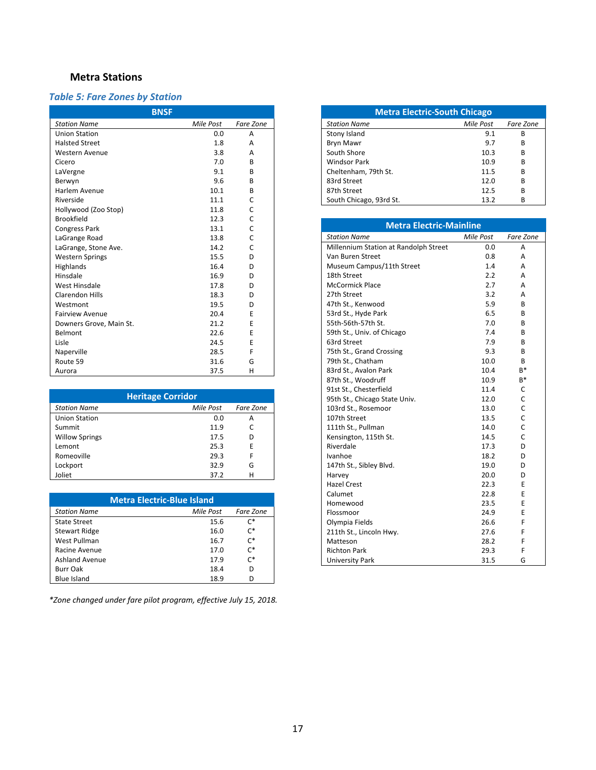## **Metra Stations**

## *Table 5: Fare Zones by Station*

| <b>BNSF</b>             |           |           |  |  |  |
|-------------------------|-----------|-----------|--|--|--|
| <b>Station Name</b>     | Mile Post | Fare Zone |  |  |  |
| <b>Union Station</b>    | 0.0       | A         |  |  |  |
| <b>Halsted Street</b>   | 1.8       | A         |  |  |  |
| Western Avenue          | 3.8       | A         |  |  |  |
| Cicero                  | 7.0       | R         |  |  |  |
| LaVergne                | 9.1       | R.        |  |  |  |
| Berwyn                  | 9.6       | R         |  |  |  |
| Harlem Avenue           | 10.1      | B         |  |  |  |
| Riverside               | 11.1      | C         |  |  |  |
| Hollywood (Zoo Stop)    | 11.8      | Ċ         |  |  |  |
| <b>Brookfield</b>       | 12.3      | C         |  |  |  |
| <b>Congress Park</b>    | 13.1      | C         |  |  |  |
| LaGrange Road           | 13.8      | C         |  |  |  |
| LaGrange, Stone Ave.    | 14.2      | C         |  |  |  |
| <b>Western Springs</b>  | 15.5      | D         |  |  |  |
| Highlands               | 16.4      | D         |  |  |  |
| Hinsdale                | 16.9      | D         |  |  |  |
| <b>West Hinsdale</b>    | 17.8      | D         |  |  |  |
| <b>Clarendon Hills</b>  | 18.3      | D         |  |  |  |
| Westmont                | 19.5      | D         |  |  |  |
| <b>Fairview Avenue</b>  | 20.4      | E         |  |  |  |
| Downers Grove, Main St. | 21.2      | F         |  |  |  |
| Belmont                 | 22.6      | E         |  |  |  |
| Lisle                   | 24.5      | E         |  |  |  |
| Naperville              | 28.5      | F         |  |  |  |
| Route 59                | 31.6      | G         |  |  |  |
| Aurora                  | 37.5      | н         |  |  |  |

| <b>Heritage Corridor</b> |           |           |  |  |
|--------------------------|-----------|-----------|--|--|
| <b>Station Name</b>      | Mile Post | Fare Zone |  |  |
| <b>Union Station</b>     | 0.0       | А         |  |  |
| Summit                   | 11.9      | C         |  |  |
| <b>Willow Springs</b>    | 17.5      | D         |  |  |
| Lemont                   | 25.3      | E         |  |  |
| Romeoville               | 29.3      | F         |  |  |
| Lockport                 | 32.9      | G         |  |  |
| Joliet                   | 37.2      | н         |  |  |

| <b>Metra Electric-Blue Island</b> |           |                |  |  |
|-----------------------------------|-----------|----------------|--|--|
| <b>Station Name</b>               | Mile Post | Fare Zone      |  |  |
| <b>State Street</b>               | 15.6      | $\mathsf{C}^*$ |  |  |
| <b>Stewart Ridge</b>              | 16.0      | $\mathsf{C}^*$ |  |  |
| West Pullman                      | 16.7      | $\mathsf{C}^*$ |  |  |
| Racine Avenue                     | 17.0      | $\mathsf{C}^*$ |  |  |
| <b>Ashland Avenue</b>             | 17.9      | $\mathsf{C}^*$ |  |  |
| <b>Burr Oak</b>                   | 18.4      | D              |  |  |
| <b>Blue Island</b>                | 18.9      |                |  |  |

*\*Zone changed under fare pilot program, effective July 15, 2018.* 

| <b>Metra Electric-South Chicago</b> |           |           |  |  |  |
|-------------------------------------|-----------|-----------|--|--|--|
| <b>Station Name</b>                 | Mile Post | Fare Zone |  |  |  |
| Stony Island                        | 9.1       | В         |  |  |  |
| <b>Bryn Mawr</b>                    | 9.7       | в         |  |  |  |
| South Shore                         | 10.3      | в         |  |  |  |
| <b>Windsor Park</b>                 | 10.9      | в         |  |  |  |
| Cheltenham, 79th St.                | 11.5      | в         |  |  |  |
| 83rd Street                         | 12.0      | в         |  |  |  |
| 87th Street                         | 12.5      | R         |  |  |  |
| South Chicago, 93rd St.             | 13.2      | в         |  |  |  |

| <b>Metra Electric-Mainline</b>        |           |              |  |  |  |  |
|---------------------------------------|-----------|--------------|--|--|--|--|
| <b>Station Name</b>                   | Mile Post | Fare Zone    |  |  |  |  |
| Millennium Station at Randolph Street | 0.0       | А            |  |  |  |  |
| Van Buren Street                      | 0.8       | А            |  |  |  |  |
| Museum Campus/11th Street             | 1.4       | А            |  |  |  |  |
| 18th Street                           | 2.2       | A            |  |  |  |  |
| <b>McCormick Place</b>                | 2.7       | A            |  |  |  |  |
| 27th Street                           | 3.2       | A            |  |  |  |  |
| 47th St., Kenwood                     | 5.9       | B            |  |  |  |  |
| 53rd St., Hyde Park                   | 6.5       | B            |  |  |  |  |
| 55th-56th-57th St.                    | 7.0       | R            |  |  |  |  |
| 59th St., Univ. of Chicago            | 7.4       | B            |  |  |  |  |
| 63rd Street                           | 7.9       | B            |  |  |  |  |
| 75th St., Grand Crossing              | 9.3       | B            |  |  |  |  |
| 79th St., Chatham                     | 10.0      | B            |  |  |  |  |
| 83rd St., Avalon Park                 | 10.4      | $B*$         |  |  |  |  |
| 87th St., Woodruff                    | 10.9      | $B*$         |  |  |  |  |
| 91st St., Chesterfield                | 11.4      | C            |  |  |  |  |
| 95th St., Chicago State Univ.         | 12.0      | C            |  |  |  |  |
| 103rd St., Rosemoor                   | 13.0      | C            |  |  |  |  |
| 107th Street                          | 13.5      | Ċ            |  |  |  |  |
| 111th St., Pullman                    | 14.0      | Ċ            |  |  |  |  |
| Kensington, 115th St.                 | 14.5      | $\mathsf{C}$ |  |  |  |  |
| Riverdale                             | 17.3      | D            |  |  |  |  |
| Ivanhoe                               | 18.2      | D            |  |  |  |  |
| 147th St., Sibley Blvd.               | 19.0      | D            |  |  |  |  |
| Harvey                                | 20.0      | D            |  |  |  |  |
| <b>Hazel Crest</b>                    | 22.3      | E            |  |  |  |  |
| Calumet                               | 22.8      | E            |  |  |  |  |
| Homewood                              | 23.5      | E            |  |  |  |  |
| Flossmoor                             | 24.9      | E            |  |  |  |  |
| Olympia Fields                        | 26.6      | F            |  |  |  |  |
| 211th St., Lincoln Hwy.               | 27.6      | F            |  |  |  |  |
| Matteson                              | 28.2      | F            |  |  |  |  |
| <b>Richton Park</b>                   | 29.3      | F            |  |  |  |  |
| <b>University Park</b>                | 31.5      | G            |  |  |  |  |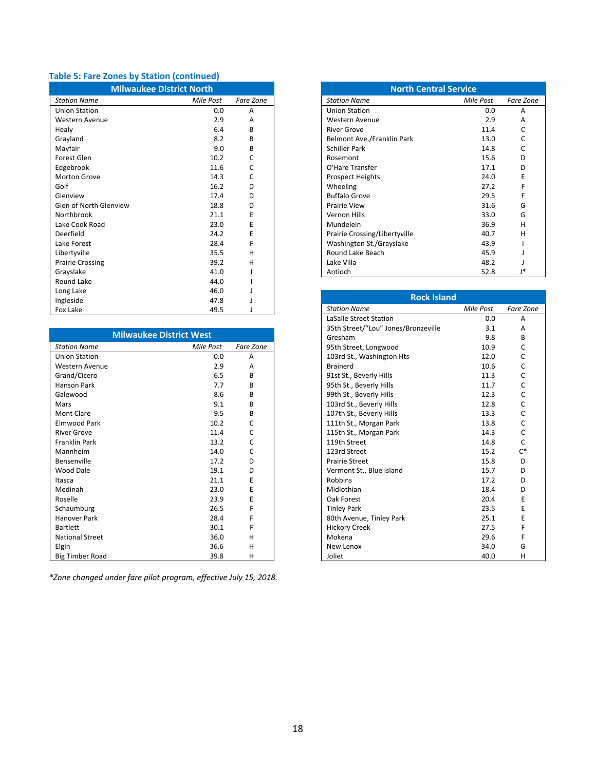## **Table 5: Fare Zones by Station (continued)**

| <b>Milwaukee District North</b> |           |           |  |  |  |
|---------------------------------|-----------|-----------|--|--|--|
| <b>Station Name</b>             | Mile Post | Fare Zone |  |  |  |
| <b>Union Station</b>            | 0.0       | A         |  |  |  |
| <b>Western Avenue</b>           | 2.9       | А         |  |  |  |
| Healy                           | 6.4       | R         |  |  |  |
| Grayland                        | 8.2       | B         |  |  |  |
| Mayfair                         | 9.0       | R         |  |  |  |
| Forest Glen                     | 10.2      | C         |  |  |  |
| Edgebrook                       | 11.6      | C         |  |  |  |
| <b>Morton Grove</b>             | 14.3      | C         |  |  |  |
| Golf                            | 16.2      | D         |  |  |  |
| Glenview                        | 17.4      | D         |  |  |  |
| Glen of North Glenview          | 18.8      | D         |  |  |  |
| Northbrook                      | 21.1      | F         |  |  |  |
| Lake Cook Road                  | 23.0      | F         |  |  |  |
| Deerfield                       | 24.2      | F         |  |  |  |
| Lake Forest                     | 28.4      | F         |  |  |  |
| Libertyville                    | 35.5      | н         |  |  |  |
| <b>Prairie Crossing</b>         | 39.2      | н         |  |  |  |
| Grayslake                       | 41.0      |           |  |  |  |
| Round Lake                      | 44.0      |           |  |  |  |
| Long Lake                       | 46.0      |           |  |  |  |
| Ingleside                       | 47.8      |           |  |  |  |
| <b>Fox Lake</b>                 | 49.5      | J         |  |  |  |

| <b>Milwaukee District West</b> |           |              |
|--------------------------------|-----------|--------------|
| <b>Station Name</b>            | Mile Post | Fare Zone    |
| <b>Union Station</b>           | 0.0       | А            |
| <b>Western Avenue</b>          | 2.9       | А            |
| Grand/Cicero                   | 6.5       | R            |
| <b>Hanson Park</b>             | 7.7       | B            |
| Galewood                       | 8.6       | B            |
| Mars                           | 9.1       | R            |
| Mont Clare                     | 9.5       | B            |
| Elmwood Park                   | 10.2      | C            |
| <b>River Grove</b>             | 11.4      | C            |
| <b>Franklin Park</b>           | 13.2      | $\mathsf{C}$ |
| Mannheim                       | 14.0      | $\mathsf{C}$ |
| Bensenville                    | 17.2      | D            |
| Wood Dale                      | 19.1      | D            |
| Itasca                         | 21.1      | E            |
| Medinah                        | 23.0      | F            |
| Roselle                        | 23.9      | E            |
| Schaumburg                     | 26.5      | F            |
| Hanover Park                   | 28.4      | F            |
| <b>Bartlett</b>                | 30.1      | F            |
| <b>National Street</b>         | 36.0      | н            |
| Elgin                          | 36.6      | н            |
| <b>Big Timber Road</b>         | 39.8      | Н            |

*\*Zone changed under fare pilot program, effective July 15, 2018.* 

| <b>North Central Service</b>  |           |           |  |
|-------------------------------|-----------|-----------|--|
| <b>Station Name</b>           | Mile Post | Fare Zone |  |
| <b>Union Station</b>          | 0.0       | A         |  |
| Western Avenue                | 2.9       | A         |  |
| <b>River Grove</b>            | 11.4      | C         |  |
| Belmont Ave./Franklin Park    | 13.0      |           |  |
| Schiller Park                 | 14.8      | r         |  |
| Rosemont                      | 15.6      | D         |  |
| O'Hare Transfer               | 17.1      | D         |  |
| <b>Prospect Heights</b>       | 24.0      | F         |  |
| Wheeling                      | 27.2      | F         |  |
| <b>Buffalo Grove</b>          | 29.5      | F         |  |
| <b>Prairie View</b>           | 31.6      | G         |  |
| Vernon Hills                  | 33.0      | G         |  |
| Mundelein                     | 36.9      | н         |  |
| Prairie Crossing/Libertyville | 40.7      | н         |  |
| Washington St./Grayslake      | 43.9      |           |  |
| Round Lake Beach              | 45.9      |           |  |
| Lake Villa                    | 48.2      |           |  |
| Antioch                       | 52.8      | l*        |  |

| <b>Rock Island</b>                  |           |              |  |
|-------------------------------------|-----------|--------------|--|
| <b>Station Name</b>                 | Mile Post | Fare Zone    |  |
| LaSalle Street Station              | 0.0       | A            |  |
| 35th Street/"Lou" Jones/Bronzeville | 3.1       | A            |  |
| Gresham                             | 9.8       | B            |  |
| 95th Street, Longwood               | 10.9      | C            |  |
| 103rd St., Washington Hts           | 12.0      | C            |  |
| <b>Brainerd</b>                     | 10.6      | C            |  |
| 91st St., Beverly Hills             | 11.3      | Ċ            |  |
| 95th St., Beverly Hills             | 11.7      | C            |  |
| 99th St., Beverly Hills             | 12.3      | C            |  |
| 103rd St., Beverly Hills            | 12.8      | C            |  |
| 107th St., Beverly Hills            | 13.3      | C            |  |
| 111th St., Morgan Park              | 13.8      | C            |  |
| 115th St., Morgan Park              | 14.3      | $\mathsf{C}$ |  |
| 119th Street                        | 14.8      | C            |  |
| 123rd Street                        | 15.2      | $C^*$        |  |
| <b>Prairie Street</b>               | 15.8      | D            |  |
| Vermont St., Blue Island            | 15.7      | D            |  |
| Robbins                             | 17.2      | D            |  |
| Midlothian                          | 18.4      | D            |  |
| Oak Forest                          | 20.4      | F            |  |
| <b>Tinley Park</b>                  | 23.5      | F            |  |
| 80th Avenue, Tinley Park            | 25.1      | E            |  |
| <b>Hickory Creek</b>                | 27.5      | F            |  |
| Mokena                              | 29.6      | F            |  |
| New Lenox                           | 34.0      | G            |  |
| Joliet                              | 40.0      | н            |  |